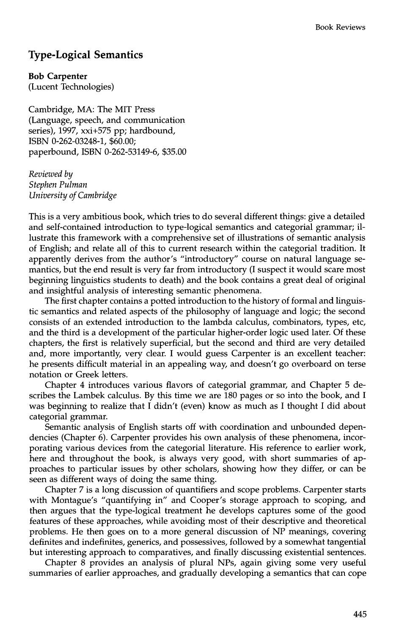## **Type-Logical Semantics**

**Bob Carpenter** 

(Lucent Technologies)

Cambridge, MA: The MIT Press (Language, speech, and communication series), 1997, xxi+575 pp; hardbound, ISBN 0-262-03248-1, \$60.00; paperbound, ISBN 0-262-53149-6, \$35.00

*Reviewed by Stephen Pulman University of Cambridge* 

This is a very ambitious book, which tries to do several different things: give a detailed and self-contained introduction to type-logical semantics and categorial grammar; illustrate this framework with a comprehensive set of illustrations of semantic analysis of English; and relate all of this to current research within the categorial tradition. It apparently derives from the author's "introductory" course on natural language semantics, but the end result is very far from introductory (I suspect it would scare most beginning linguistics students to death) and the book contains a great deal of original and insightful analysis of interesting semantic phenomena.

The first chapter contains a potted introduction to the history of formal and linguistic semantics and related aspects of the philosophy of language and logic; the second consists of an extended introduction to the lambda calculus, combinators, types, etc, and the third is a development of the particular higher-order logic used later. Of these chapters, the first is relatively superficial, but the second and third are very detailed and, more importantly, very clean I would guess Carpenter is an excellent teacher: he presents difficult material in an appealing way, and doesn't go overboard on terse notation or Greek letters.

Chapter 4 introduces various flavors of categorial grammar, and Chapter 5 describes the Lambek calculus. By this time we are 180 pages or so into the book, and I was beginning to realize that I didn't (even) know as much as I thought I did about categorial grammar.

Semantic analysis of English starts off with coordination and unbounded dependencies (Chapter 6). Carpenter provides his own analysis of these phenomena, incorporating various devices from the categorial literature. His reference to earlier work, here and throughout the book, is always very good, with short summaries of approaches to particular issues by other scholars, showing how they differ, or can be seen as different ways of doing the same thing.

Chapter 7 is a long discussion of quantifiers and scope problems. Carpenter starts with Montague's "quantifying in" and Cooper's storage approach to scoping, and then argues that the type-logical treatment he develops captures some of the good features of these approaches, while avoiding most of their descriptive and theoretical problems. He then goes on to a more general discussion of NP meanings, covering definites and indefinites, generics, and possessives, followed by a somewhat tangential but interesting approach to comparatives, and finally discussing existential sentences.

Chapter 8 provides an analysis of plural NPs, again giving some very useful summaries of earlier approaches, and gradually developing a semantics that can cope